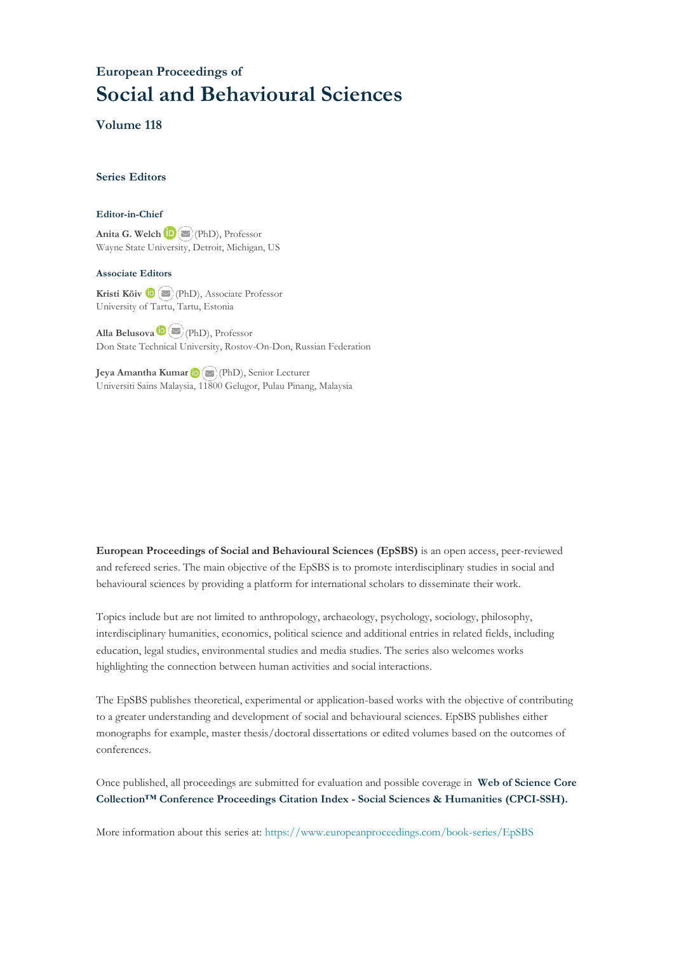# **European Proceedings of Social and Behavioural Sciences**

**Volume 118**

#### **Series Editors**

#### **Editor-in-Chief**

**Anita G. Welch** (PhD), Professor Wayne State University, Detroit, Michigan, US

#### **Associate Editors**

**Kristi Köiv** (PhD), Associate Professor University of Tartu, Tartu, Estonia

**Alla Belusova**(PhD), Professor Don State Technical University, Rostov-On-Don, Russian Federation

**Jeya Amantha Kumar**(PhD), Senior Lecturer Universiti Sains Malaysia, [1180](mailto:amantha@usm.my)0 Gelugor, Pulau Pinang, Malaysia

**European Proceedings of Social and Behavioural Sciences (EpSBS)** is an open access, peer-reviewed and refereed series. The main objective of the EpSBS is to promote interdisciplinary studies in social and behavioural sciences by providing a platform for international scholars to disseminate their work.

Topics include but are not limited to anthropology, archaeology, psychology, sociology, philosophy, interdisciplinary humanities, economics, political science and additional entries in related fields, including education, legal studies, environmental studies and media studies. The series also welcomes works highlighting the connection between human activities and social interactions.

The EpSBS publishes theoretical, experimental or application-based works with the objective of contributing to a greater understanding and development of social and behavioural sciences. EpSBS publishes either monographs for example, master thesis/doctoral dissertations or edited volumes based on the outcomes of conferences.

Once published, all proceedings are submitted for evaluation and possible coverage in **Web of [Science](https://clarivate.com/webofsciencegroup/solutions/webofscience-cpci/) Core Collection™ Conference Proceedings Citation Index - Social Sciences & Humanities [\(CPCI-SSH\).](https://clarivate.com/webofsciencegroup/solutions/webofscience-cpci/)**

More information about this series at[: https://www.europeanproceedings.com/book-series/EpSBS](https://www.europeanproceedings.com/book-series/EpSBS)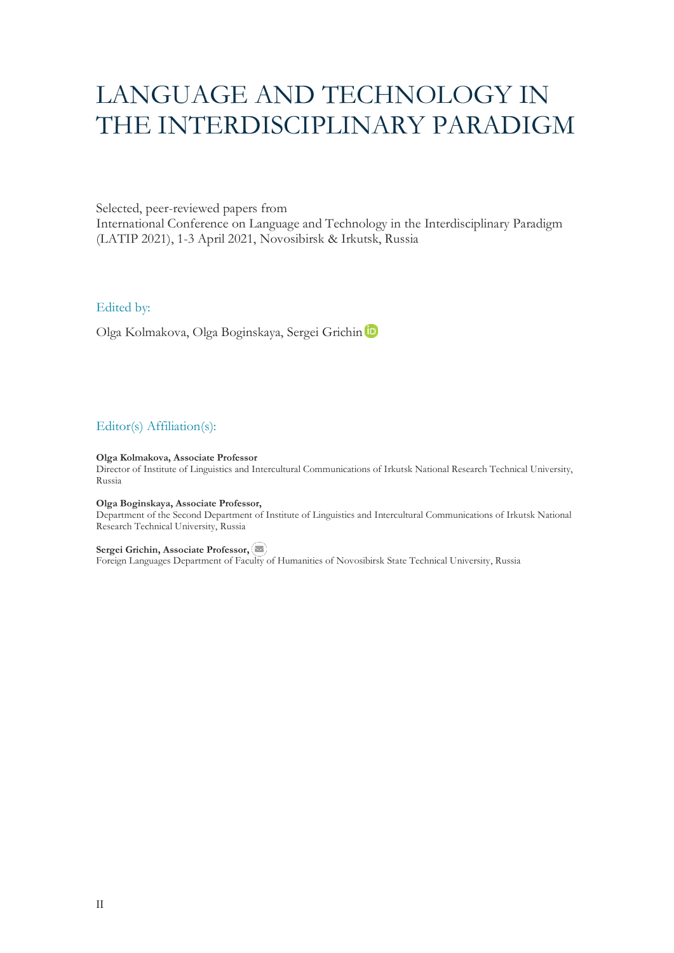# LANGUAGE AND TECHNOLOGY IN THE INTERDISCIPLINARY PARADIGM

## Selected, peer-reviewed papers from

International Conference on Language and Technology in the Interdisciplinary Paradigm (LATIP 2021), 1-3 April 2021, Novosibirsk & Irkutsk, Russia

# Edited by:

Olga Kolmakova, Olga Boginskaya, Sergei Grichin

# Editor(s) Affiliation(s):

#### **Olga Kolmakova, Associate Professor**

Director of Institute of Linguistics and Intercultural Communications of Irkutsk National Research Technical University, Russia

#### **Olga Boginskaya, Associate Professor,**

Department of the Second Department of Institute of Linguistics and Intercultural Communications of Irkutsk National Research Technical University, Russia

#### **Sergei Grichin, Associate Professor,**

Foreign Languages Department of Fac[ulty o](mailto:grichin@corp.nstu.ru)f Humanities of Novosibirsk State Technical University, Russia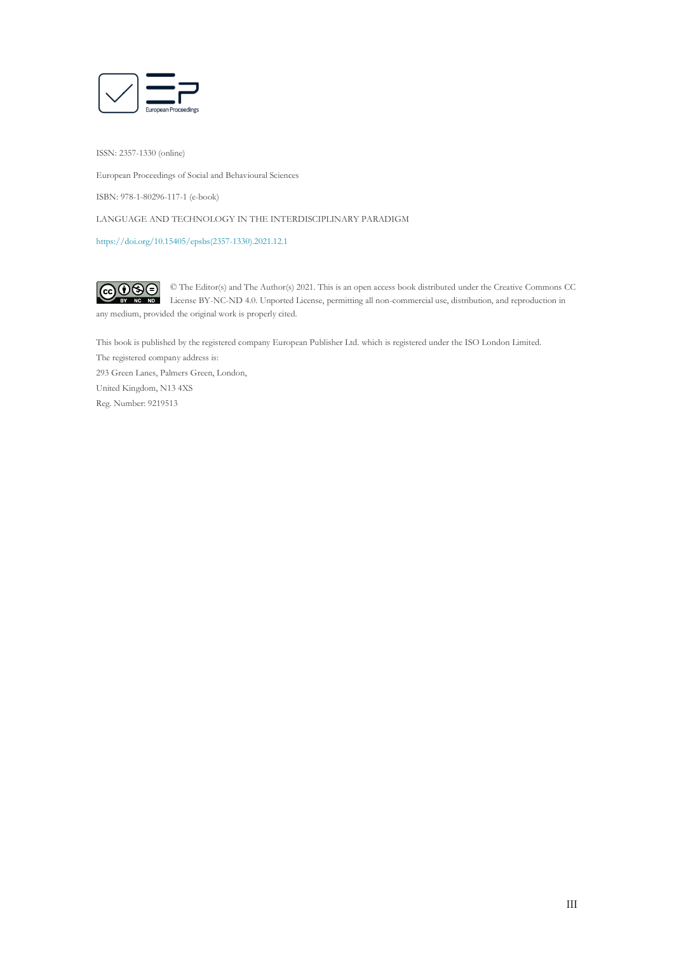

ISSN: 2357-1330 (online)

European Proceedings of Social and Behavioural Sciences

ISBN: 978-1-80296-117-1 (e-book)

LANGUAGE AND TECHNOLOGY IN THE INTERDISCIPLINARY PARADIGM

[https://doi.org/10.15405/epsbs\(2357-1330\).2021.12.1](https://doi.org/10.15405/epsbs(2357-1330).2021.12.1)

 $\fbox{CD}$ © The Editor(s) and The Author(s) 2021. This is an open access book distributed under the Creative Commons CC License BY-NC-ND 4.0. Unported License, permitting all non-commercial use, distribution, and reproduction in  $\overline{ND}$ any medium, provided the original work is properly cited.

This book is published by the registered company European Publisher Ltd. which is registered under the ISO London Limited. The registered company address is: 293 Green Lanes, Palmers Green, London, United Kingdom, N13 4XS Reg. Number: 9219513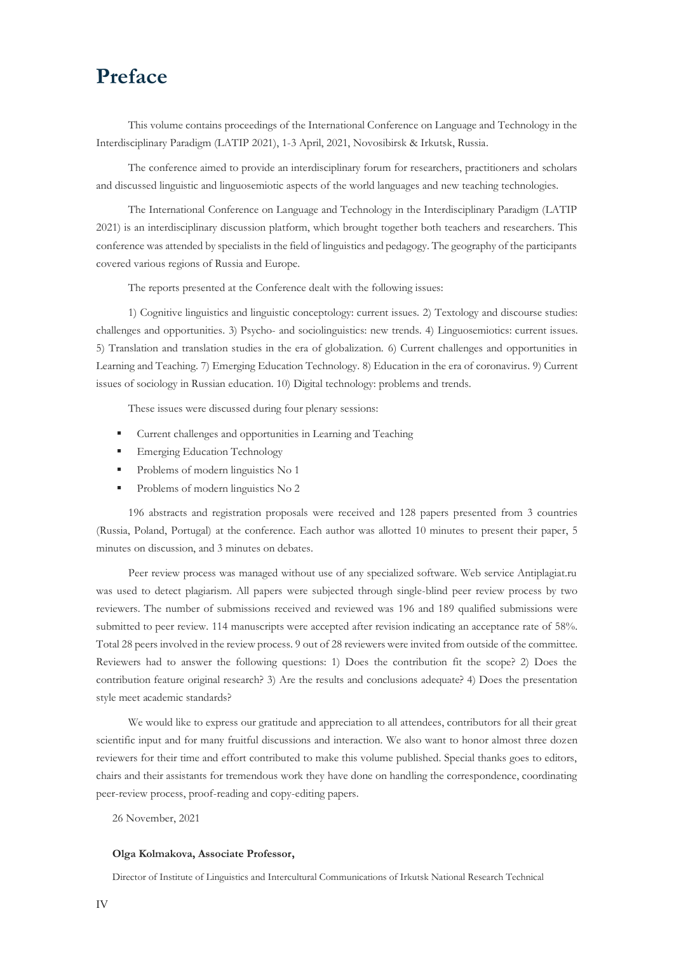# **Preface**

This volume contains proceedings of the International Conference on Language and Technology in the Interdisciplinary Paradigm (LATIP 2021), 1-3 April, 2021, Novosibirsk & Irkutsk, Russia.

The conference aimed to provide an interdisciplinary forum for researchers, practitioners and scholars and discussed linguistic and linguosemiotic aspects of the world languages and new teaching technologies.

The International Conference on Language and Technology in the Interdisciplinary Paradigm (LATIP 2021) is an interdisciplinary discussion platform, which brought together both teachers and researchers. This conference was attended by specialists in the field of linguistics and pedagogy. The geography of the participants covered various regions of Russia and Europe.

The reports presented at the Conference dealt with the following issues:

1) Cognitive linguistics and linguistic conceptology: current issues. 2) Textology and discourse studies: challenges and opportunities. 3) Psycho- and sociolinguistics: new trends. 4) Linguosemiotics: current issues. 5) Translation and translation studies in the era of globalization. 6) Current challenges and opportunities in Learning and Teaching. 7) Emerging Education Technology. 8) Education in the era of coronavirus. 9) Current issues of sociology in Russian education. 10) Digital technology: problems and trends.

These issues were discussed during four plenary sessions:

- Current challenges and opportunities in Learning and Teaching
- **Emerging Education Technology**
- **•** Problems of modern linguistics No 1
- **•** Problems of modern linguistics No 2

196 abstracts and registration proposals were received and 128 papers presented from 3 countries (Russia, Poland, Portugal) at the conference. Each author was allotted 10 minutes to present their paper, 5 minutes on discussion, and 3 minutes on debates.

Peer review process was managed without use of any specialized software. Web service Antiplagiat.ru was used to detect plagiarism. All papers were subjected through single-blind peer review process by two reviewers. The number of submissions received and reviewed was 196 and 189 qualified submissions were submitted to peer review. 114 manuscripts were accepted after revision indicating an acceptance rate of 58%. Total 28 peers involved in the review process. 9 out of 28 reviewers were invited from outside of the committee. Reviewers had to answer the following questions: 1) Does the contribution fit the scope? 2) Does the contribution feature original research? 3) Are the results and conclusions adequate? 4) Does the presentation style meet academic standards?

We would like to express our gratitude and appreciation to all attendees, contributors for all their great scientific input and for many fruitful discussions and interaction. We also want to honor almost three dozen reviewers for their time and effort contributed to make this volume published. Special thanks goes to editors, chairs and their assistants for tremendous work they have done on handling the correspondence, coordinating peer-review process, proof-reading and copy-editing papers.

26 November, 2021

#### **Olga Kolmakova, Associate Professor,**

Director of Institute of Linguistics and Intercultural Communications of Irkutsk National Research Technical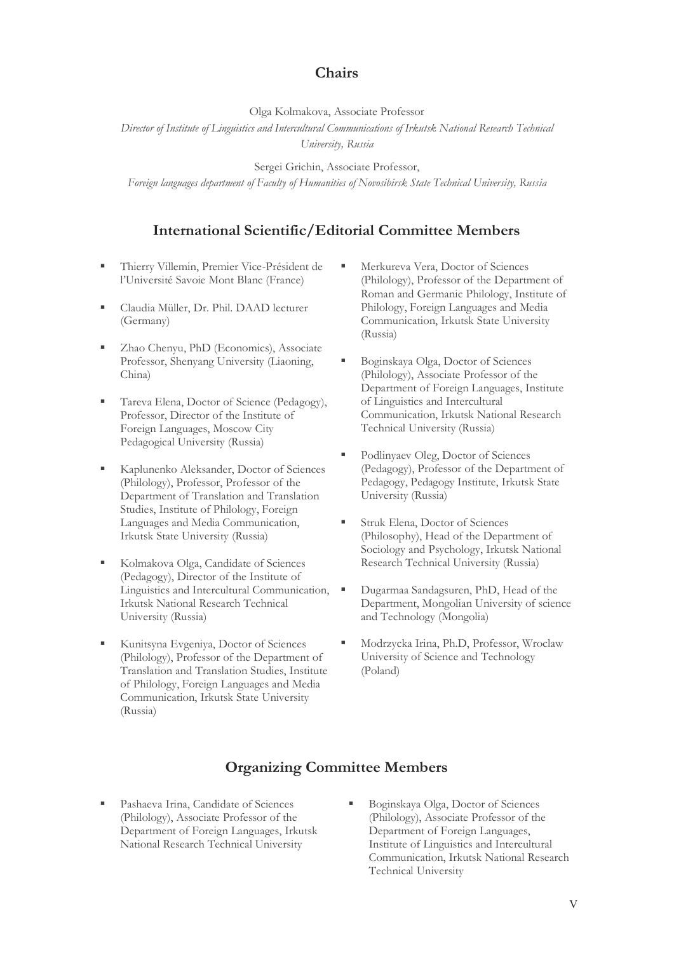# **Chairs**

Olga Kolmakova, Associate Professor

*Director of Institute of Linguistics and Intercultural Communications of Irkutsk National Research Technical* 

*University, Russia*

Sergei Grichin, Associate Professor,

*Foreign languages department of Faculty of Humanities of Novosibirsk State Technical University, Russia*

# **International Scientific/Editorial Committee Members**

- Thierry Villemin, Premier Vice-Président de l'Université Savoie Mont Blanc (France)
- Claudia Müller, Dr. Phil. DAAD lecturer (Germany)
- Zhao Chenyu, PhD (Economics), Associate Professor, Shenyang University (Liaoning, China)
- Tareva Elena, Doctor of Science (Pedagogy), Professor, Director of the Institute of Foreign Languages, Moscow City Pedagogical University (Russia)
- Kaplunenko Aleksander, Doctor of Sciences (Philology), Professor, Professor of the Department of Translation and Translation Studies, Institute of Philology, Foreign Languages and Media Communication, Irkutsk State University (Russia)
- Kolmakova Olga, Candidate of Sciences (Pedagogy), Director of the Institute of Linguistics and Intercultural Communication, Irkutsk National Research Technical University (Russia)
- Kunitsyna Evgeniya, Doctor of Sciences (Philology), Professor of the Department of Translation and Translation Studies, Institute of Philology, Foreign Languages and Media Communication, Irkutsk State University (Russia)
- Merkureva Vera, Doctor of Sciences (Philology), Professor of the Department of Roman and Germanic Philology, Institute of Philology, Foreign Languages and Media Communication, Irkutsk State University (Russia)
- Boginskaya Olga, Doctor of Sciences (Philology), Associate Professor of the Department of Foreign Languages, Institute of Linguistics and Intercultural Communication, Irkutsk National Research Technical University (Russia)
- Podlinyaev Oleg, Doctor of Sciences (Pedagogy), Professor of the Department of Pedagogy, Pedagogy Institute, Irkutsk State University (Russia)
- Struk Elena, Doctor of Sciences (Philosophy), Head of the Department of Sociology and Psychology, Irkutsk National Research Technical University (Russia)
- Dugarmaa Sandagsuren, PhD, Head of the Department, Mongolian University of science and Technology (Mongolia)
- Modrzycka Irina, Ph.D, Professor, Wroclaw University of Science and Technology (Poland)

# **Organizing Committee Members**

- Pashaeva Irina, Candidate of Sciences (Philology), Associate Professor of the Department of Foreign Languages, Irkutsk National Research Technical University
- Boginskaya Olga, Doctor of Sciences (Philology), Associate Professor of the Department of Foreign Languages, Institute of Linguistics and Intercultural Communication, Irkutsk National Research Technical University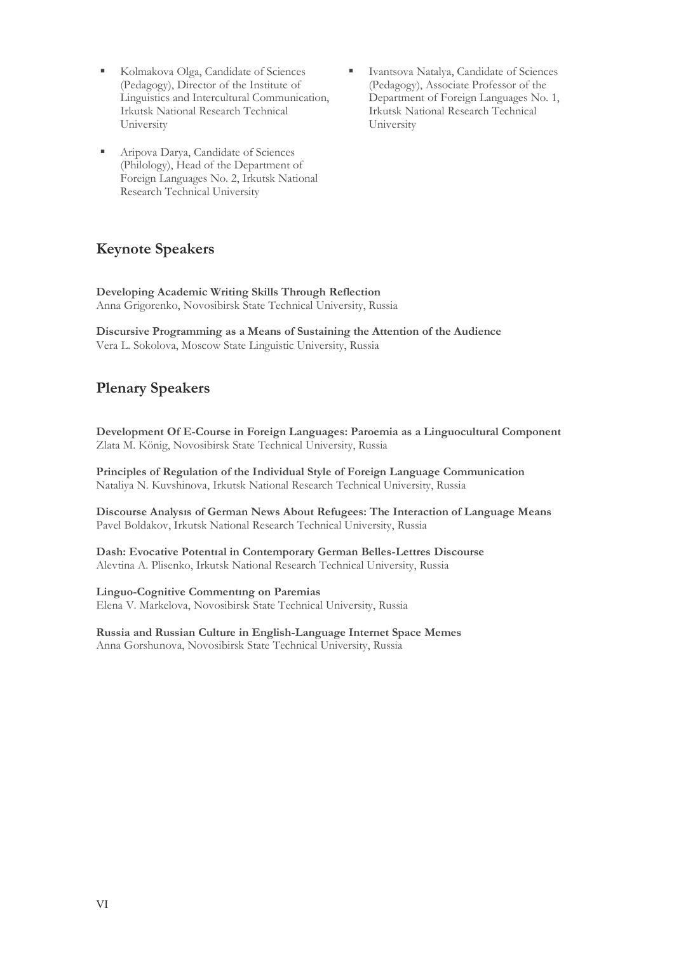- Kolmakova Olga, Candidate of Sciences (Pedagogy), Director of the Institute of Linguistics and Intercultural Communication, Irkutsk National Research Technical University
- Aripova Darya, Candidate of Sciences (Philology), Head of the Department of Foreign Languages No. 2, Irkutsk National Research Technical University
- Ivantsova Natalya, Candidate of Sciences (Pedagogy), Associate Professor of the Department of Foreign Languages No. 1, Irkutsk National Research Technical University

# **Keynote Speakers**

**Developing Academic Writing Skills Through Reflection** Anna Grigorenko, Novosibirsk State Technical University, Russia

**Discursive Programming as a Means of Sustaining the Attention of the Audience** Vera L. Sokolova, Moscow State Linguistic University, Russia

# **Plenary Speakers**

**Development Of E-Course in Foreign Languages: Paroemia as a Linguocultural Component** Zlata M. König, Novosibirsk State Technical University, Russia

**Principles of Regulation of the Individual Style of Foreign Language Communication** Nataliya N. Kuvshinova, Irkutsk National Research Technical University, Russia

**Discourse Analysıs of German News About Refugees: The Interaction of Language Means** Pavel Boldakov, Irkutsk National Research Technical University, Russia

**Dash: Evocative Potentıal in Contemporary German Belles-Lettres Discourse** Alevtina A. Plisenko, Irkutsk National Research Technical University, Russia

## **Linguo-Cognitive Commentıng on Paremias**

Elena V. Markelova, Novosibirsk State Technical University, Russia

**Russia and Russian Culture in English-Language Internet Space Memes** Anna Gorshunova, Novosibirsk State Technical University, Russia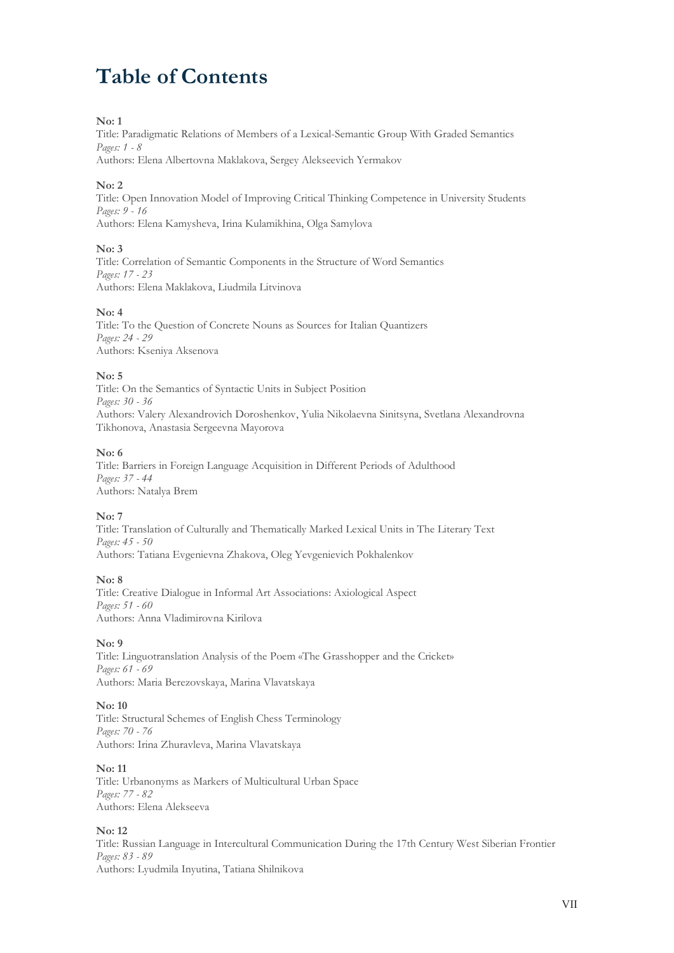# **Table of Contents**

## **No: 1**

Title: Paradigmatic Relations of Members of a Lexical-Semantic Group With Graded Semantics *Pages: 1 - 8*

Authors: Elena Albertovna Maklakova, Sergey Alekseevich Yermakov

# **No: 2**

Title: Open Innovation Model of Improving Critical Thinking Competence in University Students *Pages: 9 - 16* Authors: Elena Kamysheva, Irina Kulamikhina, Olga Samylova

# **No: 3**

Title: Correlation of Semantic Components in the Structure of Word Semantics *Pages: 17 - 23* Authors: Elena Maklakova, Liudmila Litvinova

# **No: 4**

Title: To the Question of Concrete Nouns as Sources for Italian Quantizers *Pages: 24 - 29* Authors: Kseniya Aksenova

# **No: 5**

Title: On the Semantics of Syntactic Units in Subject Position *Pages: 30 - 36* Authors: Valery Alexandrovich Doroshenkov, Yulia Nikolaevna Sinitsyna, Svetlana Alexandrovna Tikhonova, Anastasia Sergeevna Mayorova

# **No: 6**

Title: Barriers in Foreign Language Acquisition in Different Periods of Adulthood *Pages: 37 - 44* Authors: Natalya Brem

# **No: 7**

Title: Translation of Culturally and Thematically Marked Lexical Units in The Literary Text *Pages: 45 - 50* Authors: Tatiana Evgenievna Zhakova, Oleg Yevgenievich Pokhalenkov

#### **No: 8**

Title: Creative Dialogue in Informal Art Associations: Axiological Aspect *Pages: 51 - 60* Authors: Anna Vladimirovna Kirilova

# **No: 9**

Title: Linguotranslation Analysis of the Poem «The Grasshopper and the Cricket» *Pages: 61 - 69* Authors: Maria Berezovskaya, Marina Vlavatskaya

#### **No: 10**

Title: Structural Schemes of English Chess Terminology *Pages: 70 - 76* Authors: Irina Zhuravleva, Marina Vlavatskaya

#### **No: 11**

Title: Urbanonyms as Markers of Multicultural Urban Space *Pages: 77 - 82* Authors: Elena Alekseeva

# **No: 12**

Title: Russian Language in Intercultural Communication During the 17th Century West Siberian Frontier *Pages: 83 - 89* Authors: Lyudmila Inyutina, Tatiana Shilnikova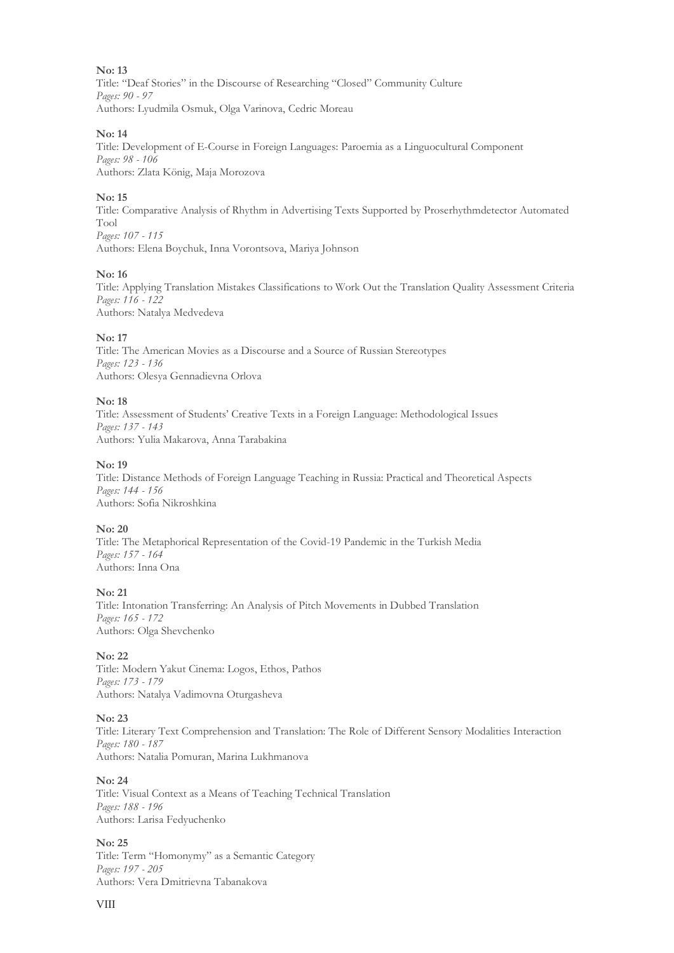Title: "Deaf Stories" in the Discourse of Researching "Closed" Community Culture *Pages: 90 - 97* Authors: Lyudmila Osmuk, Olga Varinova, Cedric Moreau

#### **No: 14**

Title: Development of E-Course in Foreign Languages: Paroemia as a Linguocultural Component *Pages: 98 - 106* Authors: Zlata König, Maja Morozova

#### **No: 15**

Title: Comparative Analysis of Rhythm in Advertising Texts Supported by Proserhythmdetector Automated Tool *Pages: 107 - 115* Authors: Elena Boychuk, Inna Vorontsova, Mariya Johnson

## **No: 16**

Title: Applying Translation Mistakes Classifications to Work Out the Translation Quality Assessment Criteria *Pages: 116 - 122* Authors: Natalya Medvedeva

#### **No: 17**

Title: The American Movies as a Discourse and a Source of Russian Stereotypes *Pages: 123 - 136* Authors: Olesya Gennadievna Orlova

#### **No: 18**

Title: Assessment of Students' Creative Texts in a Foreign Language: Methodological Issues *Pages: 137 - 143* Authors: Yulia Makarova, Anna Tarabakina

#### **No: 19**

Title: Distance Methods of Foreign Language Teaching in Russia: Practical and Theoretical Aspects *Pages: 144 - 156* Authors: Sofia Nikroshkina

#### **No: 20**

Title: The Metaphorical Representation of the Covid-19 Pandemic in the Turkish Media *Pages: 157 - 164* Authors: Inna Ona

#### **No: 21**

Title: Intonation Transferring: An Analysis of Pitch Movements in Dubbed Translation *Pages: 165 - 172* Authors: Olga Shevchenko

#### **No: 22**

Title: Modern Yakut Cinema: Logos, Ethos, Pathos *Pages: 173 - 179* Authors: Natalya Vadimovna Oturgasheva

#### **No: 23**

Title: Literary Text Comprehension and Translation: The Role of Different Sensory Modalities Interaction *Pages: 180 - 187* Authors: Natalia Pomuran, Marina Lukhmanova

#### **No: 24**

Title: Visual Context as a Means of Teaching Technical Translation *Pages: 188 - 196* Authors: Larisa Fedyuchenko

#### **No: 25**

Title: Term "Homonymy" as a Semantic Category *Pages: 197 - 205* Authors: Vera Dmitrievna Tabanakova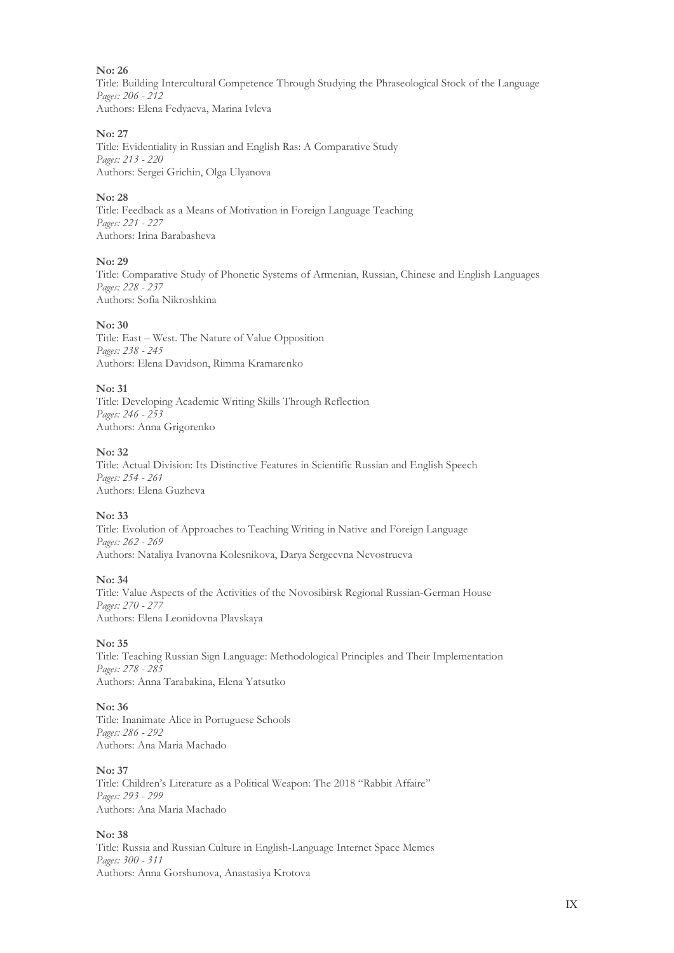Title: Building Intercultural Competence Through Studying the Phraseological Stock of the Language *Pages: 206 - 212* Authors: Elena Fedyaeva, Marina Ivleva

#### **No: 27**

Title: Evidentiality in Russian and English Ras: A Comparative Study *Pages: 213 - 220* Authors: Sergei Grichin, Olga Ulyanova

#### **No: 28**

Title: Feedback as a Means of Motivation in Foreign Language Teaching *Pages: 221 - 227* Authors: Irina Barabasheva

#### **No: 29**

Title: Comparative Study of Phonetic Systems of Armenian, Russian, Chinese and English Languages *Pages: 228 - 237* Authors: Sofia Nikroshkina

#### **No: 30**

Title: East – West. The Nature of Value Opposition *Pages: 238 - 245* Authors: Elena Davidson, Rimma Kramarenko

#### **No: 31**

Title: Developing Academic Writing Skills Through Reflection *Pages: 246 - 253* Authors: Anna Grigorenko

#### **No: 32**

Title: Actual Division: Its Distinctive Features in Scientific Russian and English Speech *Pages: 254 - 261* Authors: Elena Guzheva

# **No: 33**

Title: Evolution of Approaches to Teaching Writing in Native and Foreign Language *Pages: 262 - 269* Authors: Nataliya Ivanovna Kolesnikova, Darya Sergeevna Nevostrueva

#### **No: 34**

Title: Value Aspects of the Activities of the Novosibirsk Regional Russian-German House *Pages: 270 - 277* Authors: Elena Leonidovna Plavskaya

#### **No: 35**

Title: Teaching Russian Sign Language: Methodological Principles and Their Implementation *Pages: 278 - 285* Authors: Anna Tarabakina, Elena Yatsutko

#### **No: 36**

Title: Inanimate Alice in Portuguese Schools *Pages: 286 - 292* Authors: Ana Maria Machado

#### **No: 37**

Title: Children's Literature as a Political Weapon: The 2018 "Rabbit Affaire" *Pages: 293 - 299* Authors: Ana Maria Machado

### **No: 38**

Title: Russia and Russian Culture in English-Language Internet Space Memes *Pages: 300 - 311* Authors: Anna Gorshunova, Anastasiya Krotova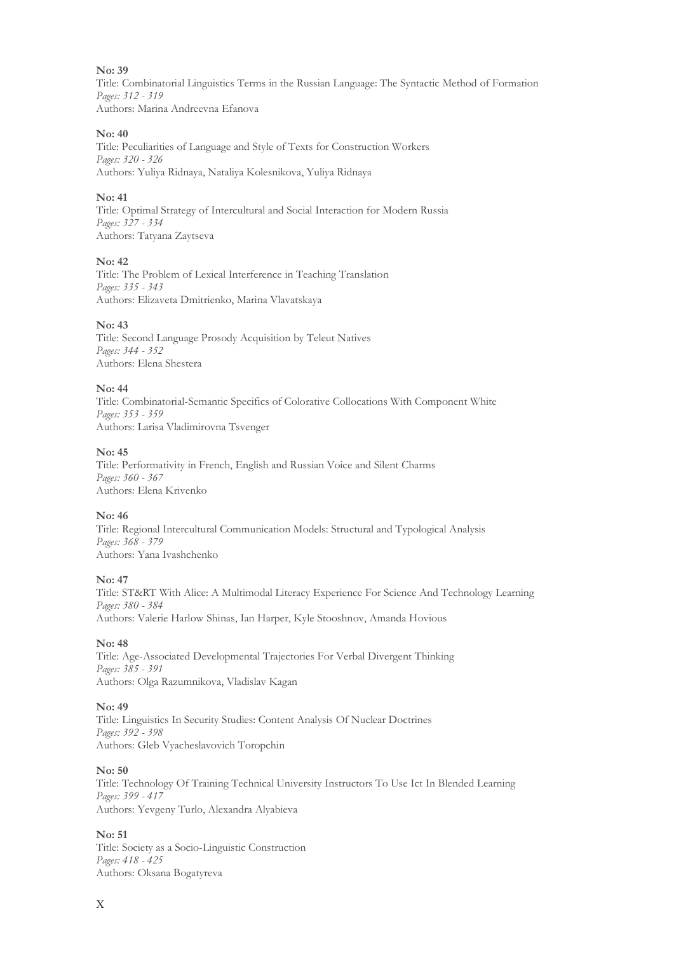Title: Combinatorial Linguistics Terms in the Russian Language: The Syntactic Method of Formation *Pages: 312 - 319* Authors: Marina Andreevna Efanova

#### **No: 40**

Title: Peculiarities of Language and Style of Texts for Construction Workers *Pages: 320 - 326* Authors: Yuliya Ridnaya, Nataliya Kolesnikova, Yuliya Ridnaya

#### **No: 41**

Title: Optimal Strategy of Intercultural and Social Interaction for Modern Russia *Pages: 327 - 334* Authors: Tatyana Zaytseva

#### **No: 42**

Title: The Problem of Lexical Interference in Teaching Translation *Pages: 335 - 343* Authors: Elizaveta Dmitrienko, Marina Vlavatskaya

#### **No: 43**

Title: Second Language Prosody Acquisition by Teleut Natives *Pages: 344 - 352* Authors: Elena Shestera

#### **No: 44**

Title: Combinatorial-Semantic Specifics of Colorative Collocations With Component White *Pages: 353 - 359* Authors: Larisa Vladimirovna Tsvenger

#### **No: 45**

Title: Performativity in French, English and Russian Voice and Silent Charms *Pages: 360 - 367* Authors: Elena Krivenko

# **No: 46**

Title: Regional Intercultural Communication Models: Structural and Typological Analysis *Pages: 368 - 379* Authors: Yana Ivashchenko

#### **No: 47**

Title: ST&RT With Alice: A Multimodal Literacy Experience For Science And Technology Learning *Pages: 380 - 384* Authors: Valerie Harlow Shinas, Ian Harper, Kyle Stooshnov, Amanda Hovious

#### **No: 48**

Title: Age-Associated Developmental Trajectories For Verbal Divergent Thinking *Pages: 385 - 391* Authors: Olga Razumnikova, Vladislav Kagan

#### **No: 49**

Title: Linguistics In Security Studies: Content Analysis Of Nuclear Doctrines *Pages: 392 - 398* Authors: Gleb Vyacheslavovich Toropchin

#### **No: 50**

Title: Technology Of Training Technical University Instructors To Use Ict In Blended Learning *Pages: 399 - 417* Authors: Yevgeny Turlo, Alexandra Alyabieva

#### **No: 51**

Title: Society as a Socio-Linguistic Construction *Pages: 418 - 425* Authors: Oksana Bogatyreva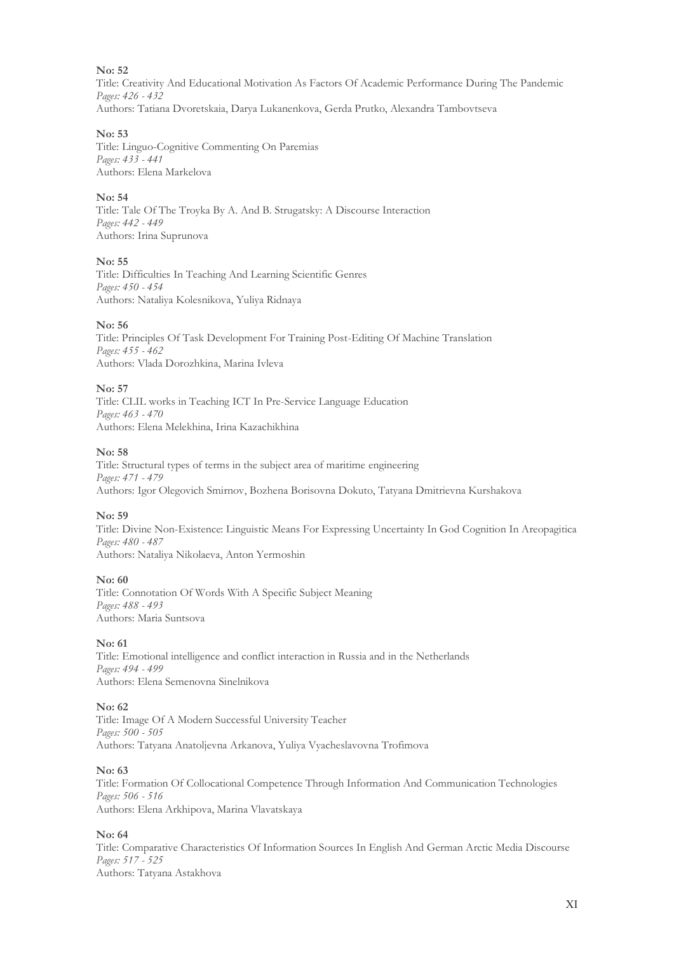Title: Creativity And Educational Motivation As Factors Of Academic Performance During The Pandemic *Pages: 426 - 432* Authors: Tatiana Dvoretskaia, Darya Lukanenkova, Gerda Prutko, Alexandra Tambovtseva

#### **No: 53**

Title: Linguo-Cognitive Commenting On Paremias *Pages: 433 - 441* Authors: Elena Markelova

#### **No: 54**

Title: Tale Of The Troyka By A. And B. Strugatsky: A Discourse Interaction *Pages: 442 - 449* Authors: Irina Suprunova

**No: 55**

Title: Difficulties In Teaching And Learning Scientific Genres *Pages: 450 - 454* Authors: Nataliya Kolesnikova, Yuliya Ridnaya

#### **No: 56**

Title: Principles Of Task Development For Training Post-Editing Of Machine Translation *Pages: 455 - 462* Authors: Vlada Dorozhkina, Marina Ivleva

#### **No: 57**

Title: CLIL works in Teaching ICT In Pre-Service Language Education *Pages: 463 - 470* Authors: Elena Melekhina, Irina Kazachikhina

#### **No: 58**

Title: Structural types of terms in the subject area of maritime engineering *Pages: 471 - 479* Authors: Igor Olegovich Smirnov, Bozhena Borisovna Dokuto, Tatyana Dmitrievna Kurshakova

# **No: 59**

Title: Divine Non-Existence: Linguistic Means For Expressing Uncertainty In God Cognition In Areopagitica *Pages: 480 - 487* Authors: Nataliya Nikolaeva, Anton Yermoshin

#### **No: 60**

Title: Connotation Of Words With A Specific Subject Meaning *Pages: 488 - 493* Authors: Maria Suntsova

#### **No: 61**

Title: Emotional intelligence and conflict interaction in Russia and in the Netherlands *Pages: 494 - 499* Authors: Elena Semenovna Sinelnikova

#### **No: 62**

Title: Image Of A Modern Successful University Teacher *Pages: 500 - 505* Authors: Tatyana Anatoljevna Arkanova, Yuliya Vyacheslavovna Trofimova

#### **No: 63**

Title: Formation Of Collocational Competence Through Information And Communication Technologies *Pages: 506 - 516* Authors: Elena Arkhipova, Marina Vlavatskaya

#### **No: 64**

Title: Comparative Characteristics Of Information Sources In English And German Arctic Media Discourse *Pages: 517 - 525* Authors: Tatyana Astakhova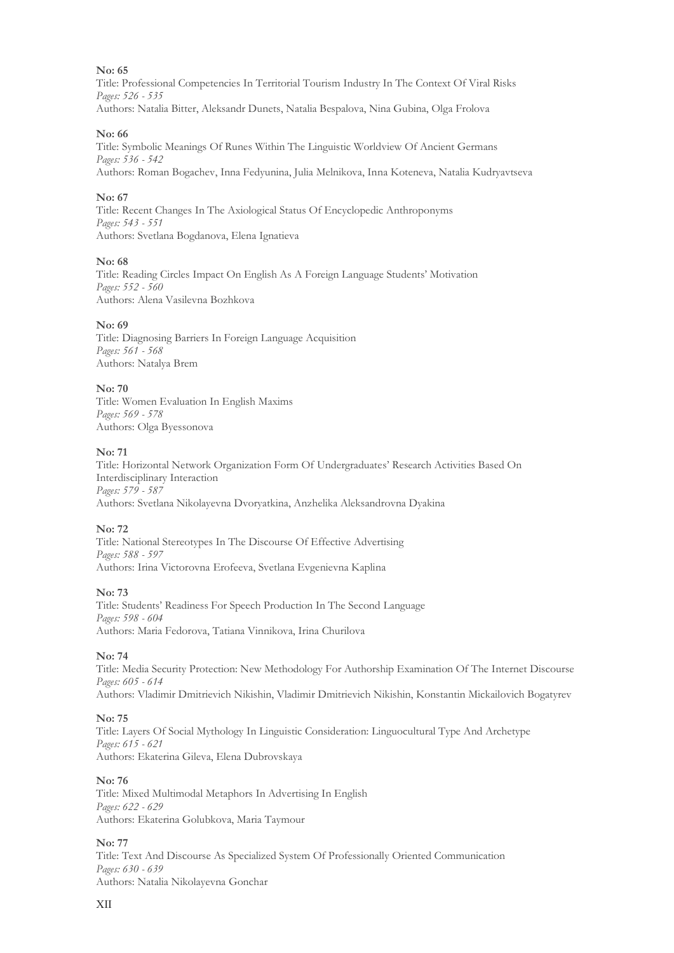Title: Professional Competencies In Territorial Tourism Industry In The Context Of Viral Risks *Pages: 526 - 535* Authors: Natalia Bitter, Aleksandr Dunets, Natalia Bespalova, Nina Gubina, Olga Frolova

#### **No: 66**

Title: Symbolic Meanings Of Runes Within The Linguistic Worldview Of Ancient Germans *Pages: 536 - 542* Authors: Roman Bogachev, Inna Fedyunina, Julia Melnikova, Inna Koteneva, Natalia Kudryavtseva

#### **No: 67**

Title: Recent Changes In The Axiological Status Of Encyclopedic Anthroponyms *Pages: 543 - 551* Authors: Svetlana Bogdanova, Elena Ignatieva

#### **No: 68**

Title: Reading Circles Impact On English As A Foreign Language Students' Motivation *Pages: 552 - 560* Authors: Alena Vasilevna Bozhkova

#### **No: 69**

Title: Diagnosing Barriers In Foreign Language Acquisition *Pages: 561 - 568* Authors: Natalya Brem

#### **No: 70**

Title: Women Evaluation In English Maxims *Pages: 569 - 578* Authors: Olga Byessonova

#### **No: 71**

Title: Horizontal Network Organization Form Of Undergraduates' Research Activities Based On Interdisciplinary Interaction *Pages: 579 - 587* Authors: Svetlana Nikolayevna Dvoryatkina, Anzhelika Aleksandrovna Dyakina

#### **No: 72**

Title: National Stereotypes In The Discourse Of Effective Advertising *Pages: 588 - 597* Authors: Irina Victorovna Erofeeva, Svetlana Evgenievna Kaplina

#### **No: 73**

Title: Students' Readiness For Speech Production In The Second Language *Pages: 598 - 604* Authors: Maria Fedorova, Tatiana Vinnikova, Irina Churilova

#### **No: 74**

Title: Media Security Protection: New Methodology For Authorship Examination Of The Internet Discourse *Pages: 605 - 614* Authors: Vladimir Dmitrievich Nikishin, Vladimir Dmitrievich Nikishin, Konstantin Mickailovich Bogatyrev

#### **No: 75**

Title: Layers Of Social Mythology In Linguistic Consideration: Linguocultural Type And Archetype *Pages: 615 - 621* Authors: Ekaterina Gileva, Elena Dubrovskaya

#### **No: 76**

Title: Mixed Multimodal Metaphors In Advertising In English *Pages: 622 - 629* Authors: Ekaterina Golubkova, Maria Taymour

#### **No: 77**

Title: Text And Discourse As Specialized System Of Professionally Oriented Communication *Pages: 630 - 639* Authors: Natalia Nikolayevna Gonchar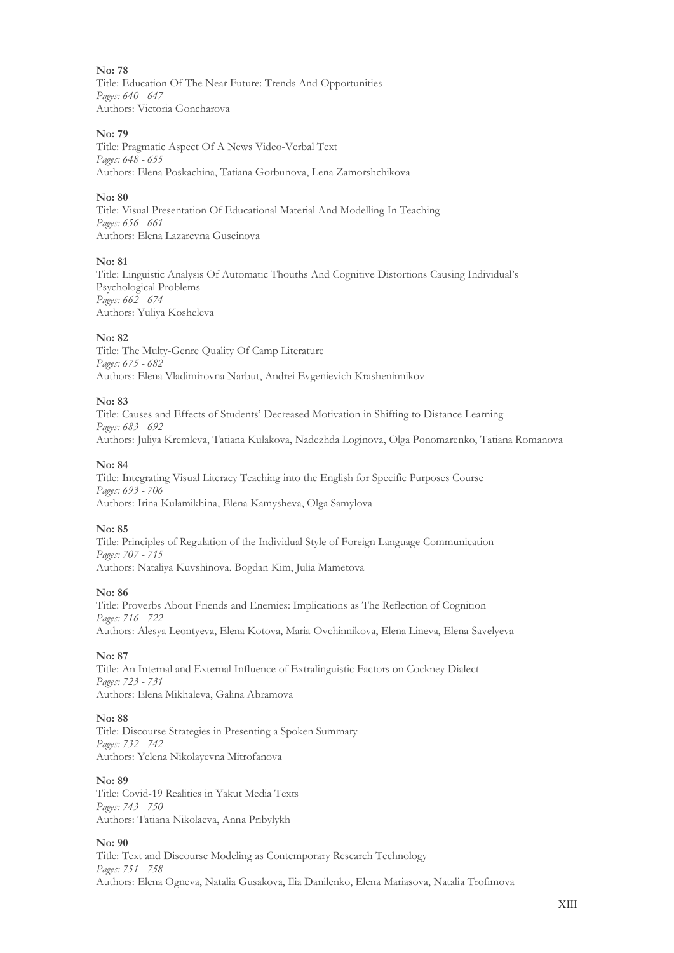**No: 78** Title: Education Of The Near Future: Trends And Opportunities *Pages: 640 - 647* Authors: Victoria Goncharova

#### **No: 79**

Title: Pragmatic Aspect Of A News Video-Verbal Text *Pages: 648 - 655* Authors: Elena Poskachina, Tatiana Gorbunova, Lena Zamorshchikova

#### **No: 80**

Title: Visual Presentation Of Educational Material And Modelling In Teaching *Pages: 656 - 661* Authors: Elena Lazarevna Guseinova

#### **No: 81**

Title: Linguistic Analysis Of Automatic Thouths And Cognitive Distortions Causing Individual's Psychological Problems *Pages: 662 - 674* Authors: Yuliya Kosheleva

#### **No: 82**

Title: The Multy-Genre Quality Of Camp Literature *Pages: 675 - 682* Authors: Elena Vladimirovna Narbut, Andrei Evgenievich Krasheninnikov

#### **No: 83**

Title: Causes and Effects of Students' Decreased Motivation in Shifting to Distance Learning *Pages: 683 - 692* Authors: Juliya Kremleva, Tatiana Kulakova, Nadezhda Loginova, Olga Ponomarenko, Tatiana Romanova

#### **No: 84**

Title: Integrating Visual Literacy Teaching into the English for Specific Purposes Course *Pages: 693 - 706* Authors: Irina Kulamikhina, Elena Kamysheva, Olga Samylova

#### **No: 85**

Title: Principles of Regulation of the Individual Style of Foreign Language Communication *Pages: 707 - 715* Authors: Nataliya Kuvshinova, Bogdan Kim, Julia Mametova

#### **No: 86**

Title: Proverbs About Friends and Enemies: Implications as The Reflection of Cognition *Pages: 716 - 722* Authors: Alesya Leontyeva, Elena Kotova, Maria Ovchinnikova, Elena Lineva, Elena Savelyeva

#### **No: 87**

Title: An Internal and External Influence of Extralinguistic Factors on Cockney Dialect *Pages: 723 - 731* Authors: Elena Mikhaleva, Galina Abramova

#### **No: 88**

Title: Discourse Strategies in Presenting a Spoken Summary *Pages: 732 - 742* Authors: Yelena Nikolayevna Mitrofanova

#### **No: 89**

Title: Covid-19 Realities in Yakut Media Texts *Pages: 743 - 750* Authors: Tatiana Nikolaeva, Anna Pribylykh

#### **No: 90**

Title: Text and Discourse Modeling as Contemporary Research Technology *Pages: 751 - 758* Authors: Elena Ogneva, Natalia Gusakova, Ilia Danilenko, Elena Mariasova, Natalia Trofimova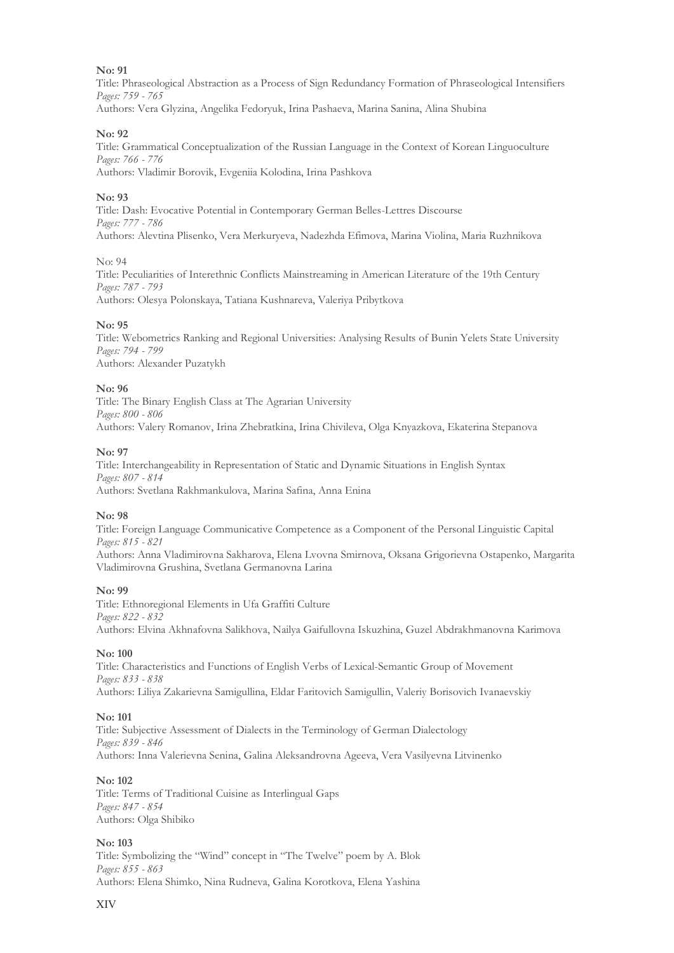Title: Phraseological Abstraction as a Process of Sign Redundancy Formation of Phraseological Intensifiers *Pages: 759 - 765* Authors: Vera Glyzina, Angelika Fedoryuk, Irina Pashaeva, Marina Sanina, Alina Shubina

#### **No: 92**

Title: Grammatical Conceptualization of the Russian Language in the Context of Korean Linguoculture *Pages: 766 - 776* Authors: Vladimir Borovik, Evgeniia Kolodina, Irina Pashkova

#### **No: 93**

Title: Dash: Evocative Potential in Contemporary German Belles-Lettres Discourse *Pages: 777 - 786* Authors: Alevtina Plisenko, Vera Merkuryeva, Nadezhda Efimova, Marina Violina, Maria Ruzhnikova

#### No: 94

Title: Peculiarities of Interethnic Conflicts Mainstreaming in American Literature of the 19th Century *Pages: 787 - 793* Authors: Olesya Polonskaya, Tatiana Kushnareva, Valeriya Pribytkova

#### **No: 95**

Title: Webometrics Ranking and Regional Universities: Analysing Results of Bunin Yelets State University *Pages: 794 - 799* Authors: Alexander Puzatykh

#### **No: 96**

Title: The Binary English Class at The Agrarian University *Pages: 800 - 806* Authors: Valery Romanov, Irina Zhebratkina, Irina Chivileva, Olga Knyazkova, Ekaterina Stepanova

#### **No: 97**

Title: Interchangeability in Representation of Static and Dynamic Situations in English Syntax *Pages: 807 - 814* Authors: Svetlana Rakhmankulova, Marina Safina, Anna Enina

#### **No: 98**

Title: Foreign Language Communicative Competence as a Component of the Personal Linguistic Capital *Pages: 815 - 821*

Authors: Anna Vladimirovna Sakharova, Elena Lvovna Smirnova, Oksana Grigorievna Ostapenko, Margarita Vladimirovna Grushina, Svetlana Germanovna Larina

#### **No: 99**

Title: Ethnoregional Elements in Ufa Graffiti Culture *Pages: 822 - 832* Authors: Elvina Akhnafovna Salikhova, Nailya Gaifullovna Iskuzhina, Guzel Abdrakhmanovna Karimova

#### **No: 100**

Title: Characteristics and Functions of English Verbs of Lexical-Semantic Group of Movement *Pages: 833 - 838* Authors: Liliya Zakarievna Samigullina, Eldar Faritovich Samigullin, Valeriy Borisovich Ivanaevskiy

#### **No: 101**

Title: Subjective Assessment of Dialects in the Terminology of German Dialectology *Pages: 839 - 846* Authors: Inna Valerievna Senina, Galina Aleksandrovna Ageeva, Vera Vasilyevna Litvinenko

#### **No: 102**

Title: Terms of Traditional Cuisine as Interlingual Gaps *Pages: 847 - 854* Authors: Olga Shibiko

#### **No: 103**

Title: Symbolizing the "Wind" concept in "The Twelve" poem by A. Blok *Pages: 855 - 863* Authors: Еlena Shimko, Nina Rudneva, Galina Korotkova, Еlena Yashina